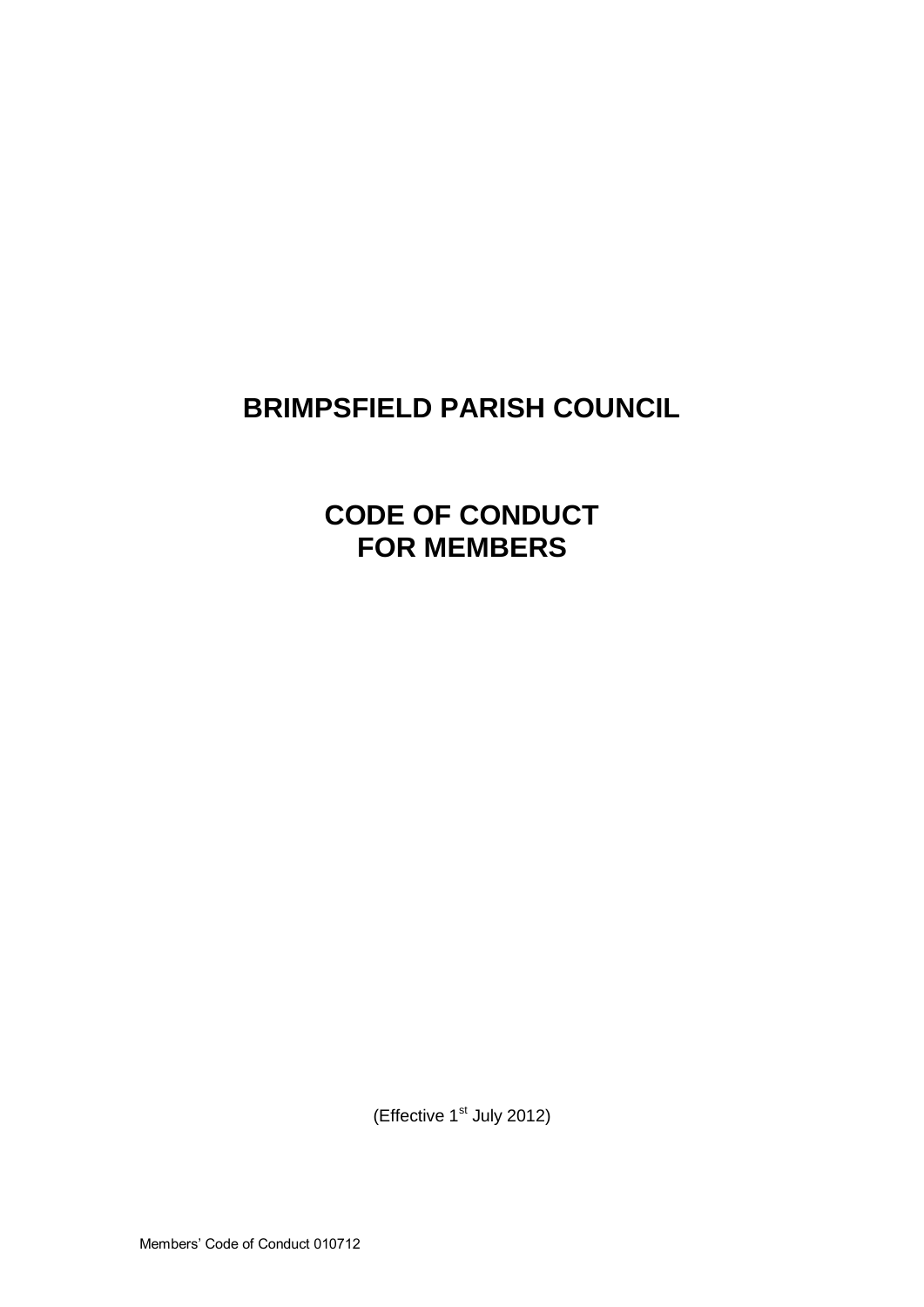# **BRIMPSFIELD PARISH COUNCIL**

**CODE OF CONDUCT FOR MEMBERS**

(Effective 1<sup>st</sup> July 2012)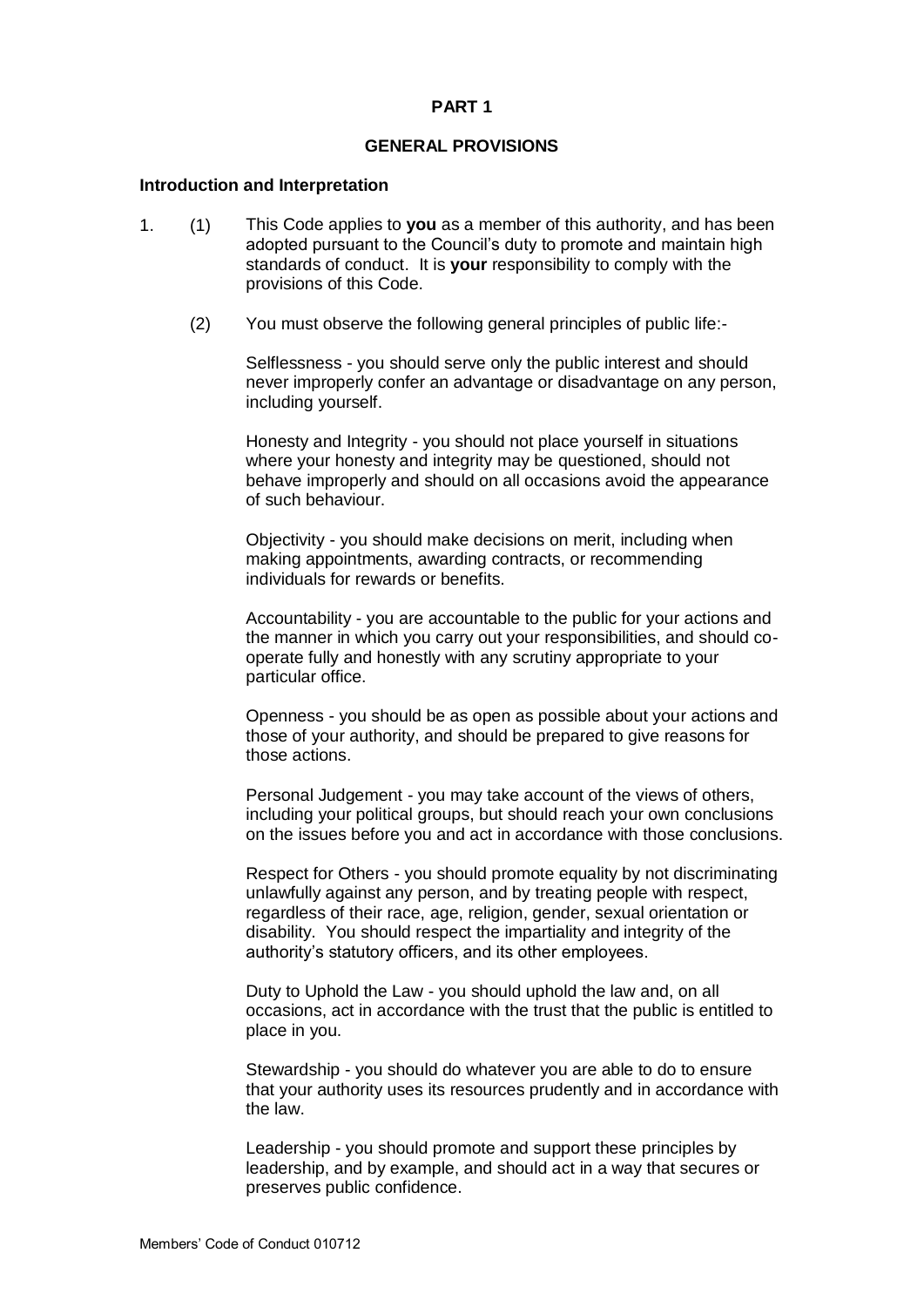#### **PART 1**

### **GENERAL PROVISIONS**

#### **Introduction and Interpretation**

- 1. (1) This Code applies to **you** as a member of this authority, and has been adopted pursuant to the Council's duty to promote and maintain high standards of conduct. It is **your** responsibility to comply with the provisions of this Code.
	- (2) You must observe the following general principles of public life:-

Selflessness - you should serve only the public interest and should never improperly confer an advantage or disadvantage on any person, including yourself.

Honesty and Integrity - you should not place yourself in situations where your honesty and integrity may be questioned, should not behave improperly and should on all occasions avoid the appearance of such behaviour.

Objectivity - you should make decisions on merit, including when making appointments, awarding contracts, or recommending individuals for rewards or benefits.

Accountability - you are accountable to the public for your actions and the manner in which you carry out your responsibilities, and should cooperate fully and honestly with any scrutiny appropriate to your particular office.

Openness - you should be as open as possible about your actions and those of your authority, and should be prepared to give reasons for those actions.

Personal Judgement - you may take account of the views of others, including your political groups, but should reach your own conclusions on the issues before you and act in accordance with those conclusions.

Respect for Others - you should promote equality by not discriminating unlawfully against any person, and by treating people with respect, regardless of their race, age, religion, gender, sexual orientation or disability. You should respect the impartiality and integrity of the authority's statutory officers, and its other employees.

Duty to Uphold the Law - you should uphold the law and, on all occasions, act in accordance with the trust that the public is entitled to place in you.

Stewardship - you should do whatever you are able to do to ensure that your authority uses its resources prudently and in accordance with the law.

Leadership - you should promote and support these principles by leadership, and by example, and should act in a way that secures or preserves public confidence.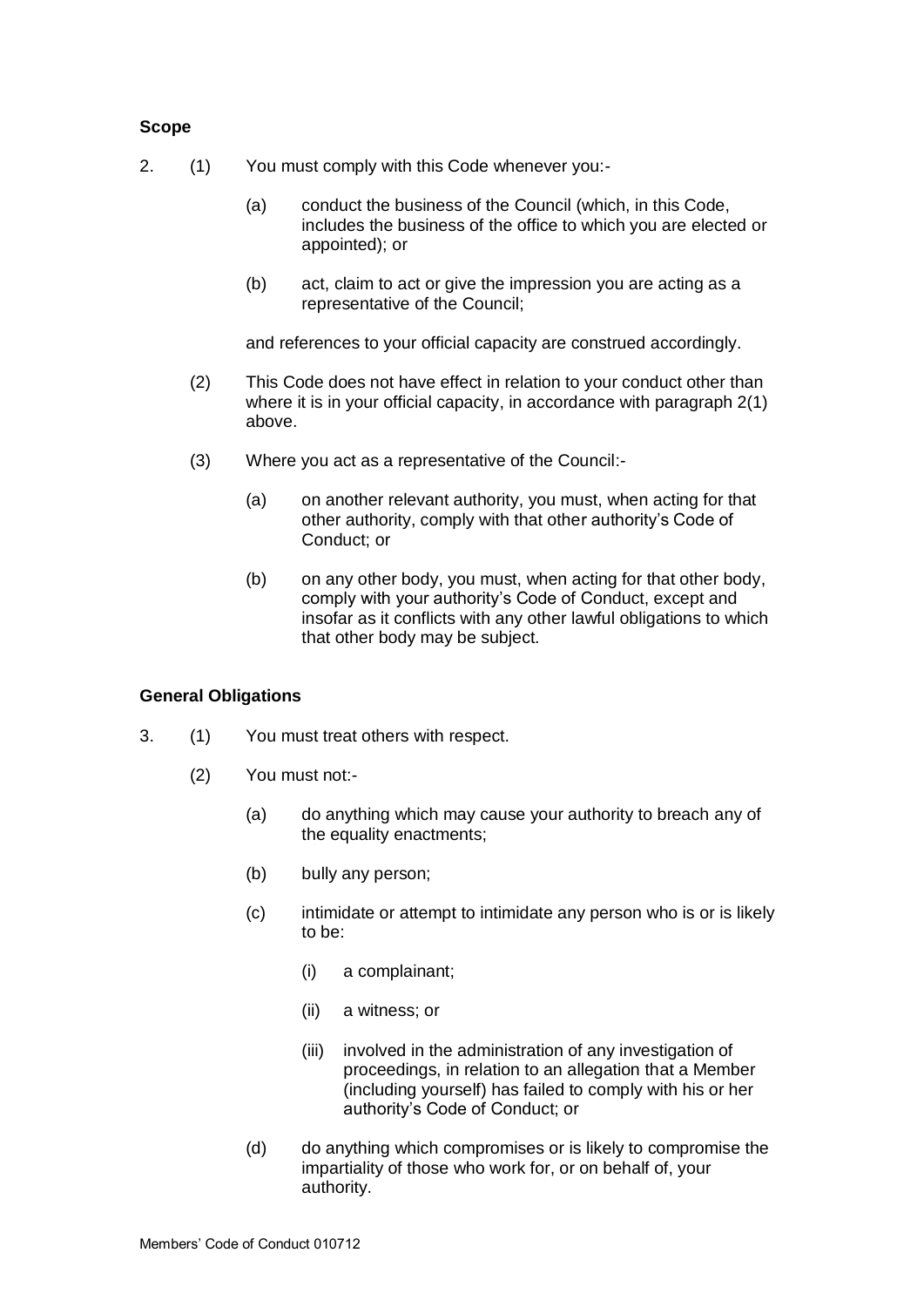## **Scope**

- 2. (1) You must comply with this Code whenever you:-
	- (a) conduct the business of the Council (which, in this Code, includes the business of the office to which you are elected or appointed); or
	- (b) act, claim to act or give the impression you are acting as a representative of the Council;

and references to your official capacity are construed accordingly.

- (2) This Code does not have effect in relation to your conduct other than where it is in your official capacity, in accordance with paragraph 2(1) above.
- (3) Where you act as a representative of the Council:-
	- (a) on another relevant authority, you must, when acting for that other authority, comply with that other authority's Code of Conduct; or
	- (b) on any other body, you must, when acting for that other body, comply with your authority's Code of Conduct, except and insofar as it conflicts with any other lawful obligations to which that other body may be subject.

## **General Obligations**

- 3. (1) You must treat others with respect.
	- (2) You must not:-
		- (a) do anything which may cause your authority to breach any of the equality enactments;
		- (b) bully any person;
		- (c) intimidate or attempt to intimidate any person who is or is likely to be:
			- (i) a complainant;
			- (ii) a witness; or
			- (iii) involved in the administration of any investigation of proceedings, in relation to an allegation that a Member (including yourself) has failed to comply with his or her authority's Code of Conduct; or
		- (d) do anything which compromises or is likely to compromise the impartiality of those who work for, or on behalf of, your authority.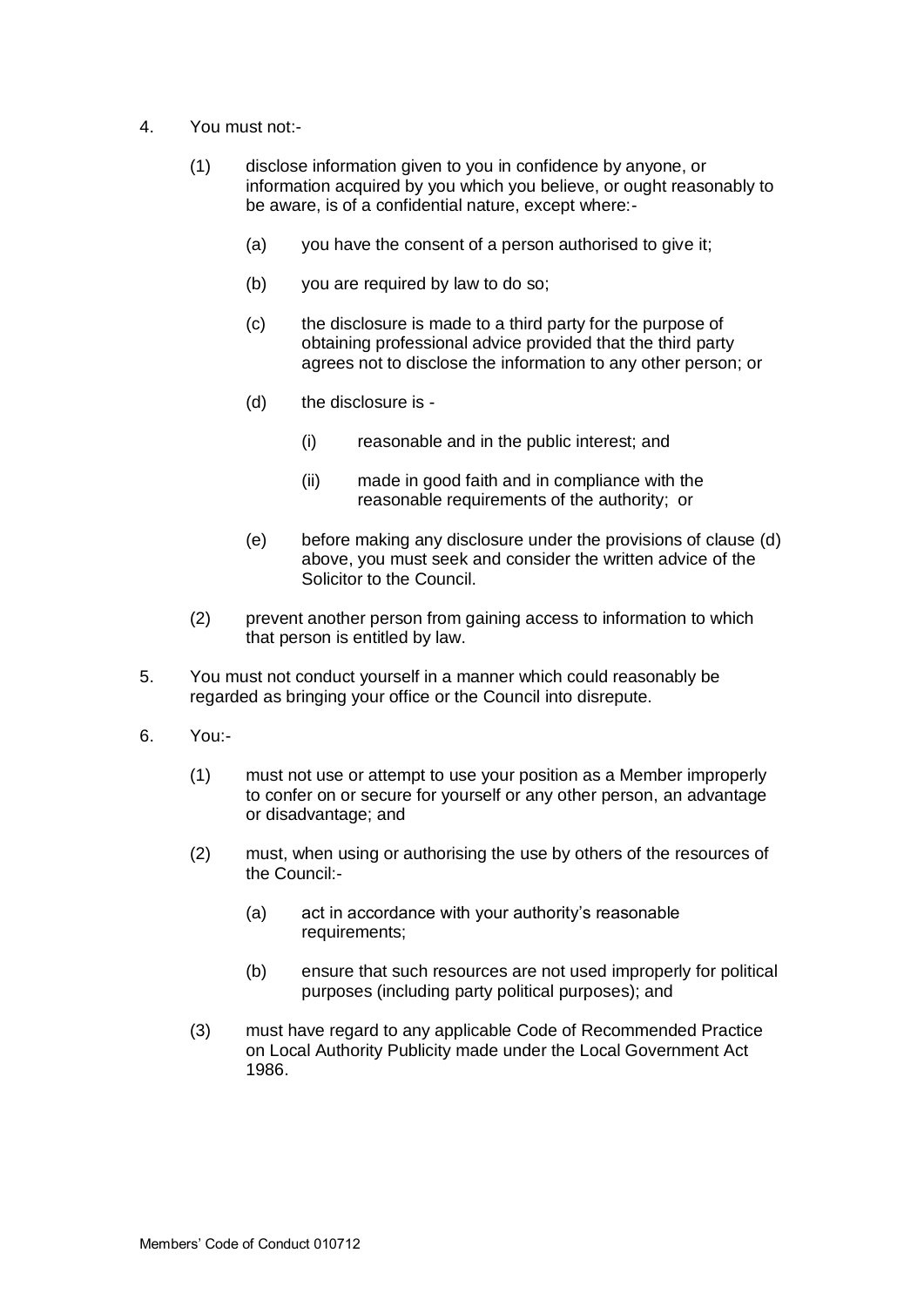- 4. You must not:-
	- (1) disclose information given to you in confidence by anyone, or information acquired by you which you believe, or ought reasonably to be aware, is of a confidential nature, except where:-
		- (a) you have the consent of a person authorised to give it;
		- (b) you are required by law to do so;
		- (c) the disclosure is made to a third party for the purpose of obtaining professional advice provided that the third party agrees not to disclose the information to any other person; or
		- (d) the disclosure is
			- (i) reasonable and in the public interest; and
			- (ii) made in good faith and in compliance with the reasonable requirements of the authority; or
		- (e) before making any disclosure under the provisions of clause (d) above, you must seek and consider the written advice of the Solicitor to the Council.
	- (2) prevent another person from gaining access to information to which that person is entitled by law.
- 5. You must not conduct yourself in a manner which could reasonably be regarded as bringing your office or the Council into disrepute.
- 6. You:-
	- (1) must not use or attempt to use your position as a Member improperly to confer on or secure for yourself or any other person, an advantage or disadvantage; and
	- (2) must, when using or authorising the use by others of the resources of the Council:-
		- (a) act in accordance with your authority's reasonable requirements;
		- (b) ensure that such resources are not used improperly for political purposes (including party political purposes); and
	- (3) must have regard to any applicable Code of Recommended Practice on Local Authority Publicity made under the Local Government Act 1986.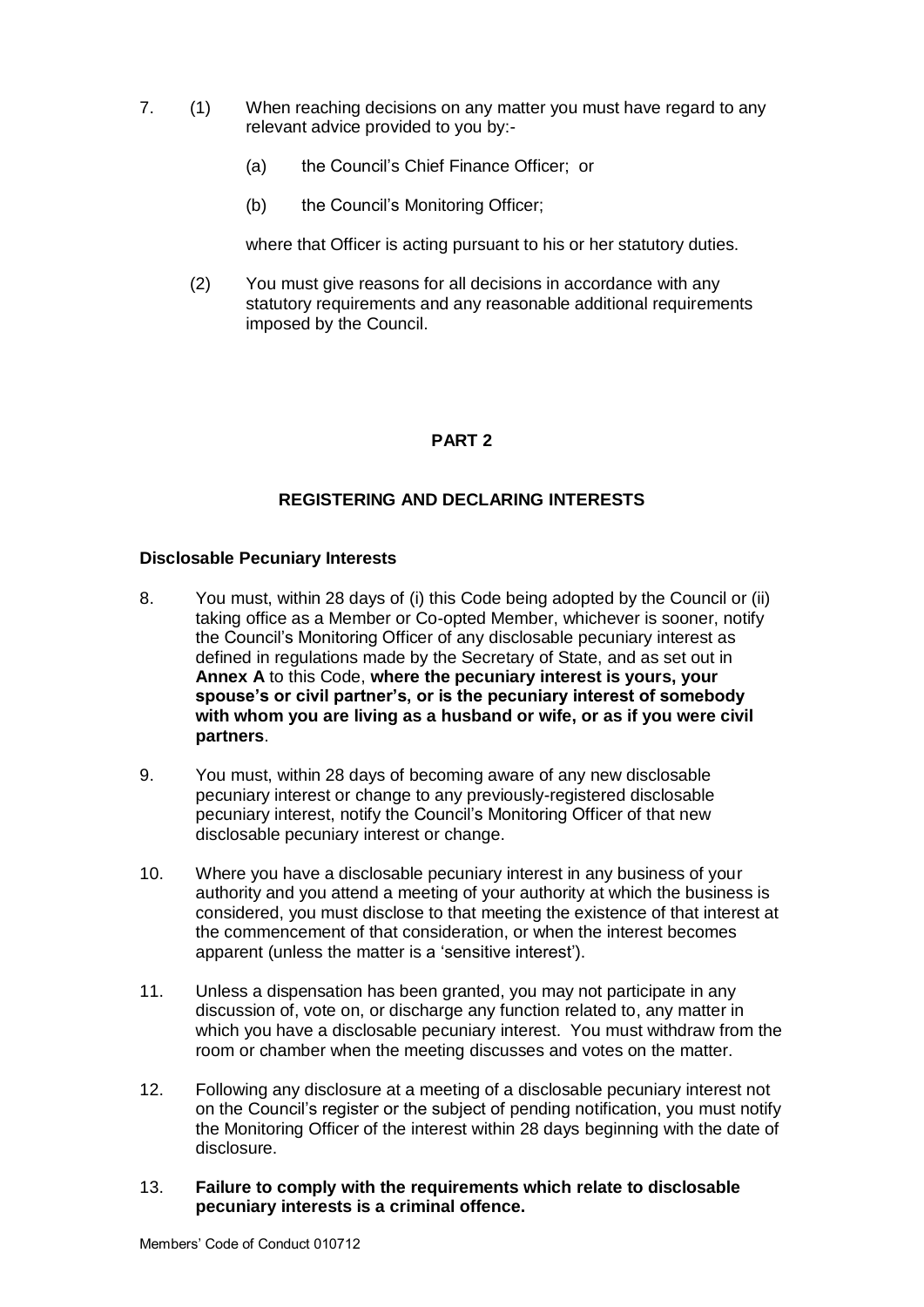- 7. (1) When reaching decisions on any matter you must have regard to any relevant advice provided to you by:-
	- (a) the Council's Chief Finance Officer; or
	- (b) the Council's Monitoring Officer;

where that Officer is acting pursuant to his or her statutory duties.

(2) You must give reasons for all decisions in accordance with any statutory requirements and any reasonable additional requirements imposed by the Council.

# **PART 2**

## **REGISTERING AND DECLARING INTERESTS**

### **Disclosable Pecuniary Interests**

- 8. You must, within 28 days of (i) this Code being adopted by the Council or (ii) taking office as a Member or Co-opted Member, whichever is sooner, notify the Council's Monitoring Officer of any disclosable pecuniary interest as defined in regulations made by the Secretary of State, and as set out in **Annex A** to this Code, **where the pecuniary interest is yours, your spouse's or civil partner's, or is the pecuniary interest of somebody with whom you are living as a husband or wife, or as if you were civil partners**.
- 9. You must, within 28 days of becoming aware of any new disclosable pecuniary interest or change to any previously-registered disclosable pecuniary interest, notify the Council's Monitoring Officer of that new disclosable pecuniary interest or change.
- 10. Where you have a disclosable pecuniary interest in any business of your authority and you attend a meeting of your authority at which the business is considered, you must disclose to that meeting the existence of that interest at the commencement of that consideration, or when the interest becomes apparent (unless the matter is a 'sensitive interest').
- 11. Unless a dispensation has been granted, you may not participate in any discussion of, vote on, or discharge any function related to, any matter in which you have a disclosable pecuniary interest. You must withdraw from the room or chamber when the meeting discusses and votes on the matter.
- 12. Following any disclosure at a meeting of a disclosable pecuniary interest not on the Council's register or the subject of pending notification, you must notify the Monitoring Officer of the interest within 28 days beginning with the date of disclosure.
- 13. **Failure to comply with the requirements which relate to disclosable pecuniary interests is a criminal offence.**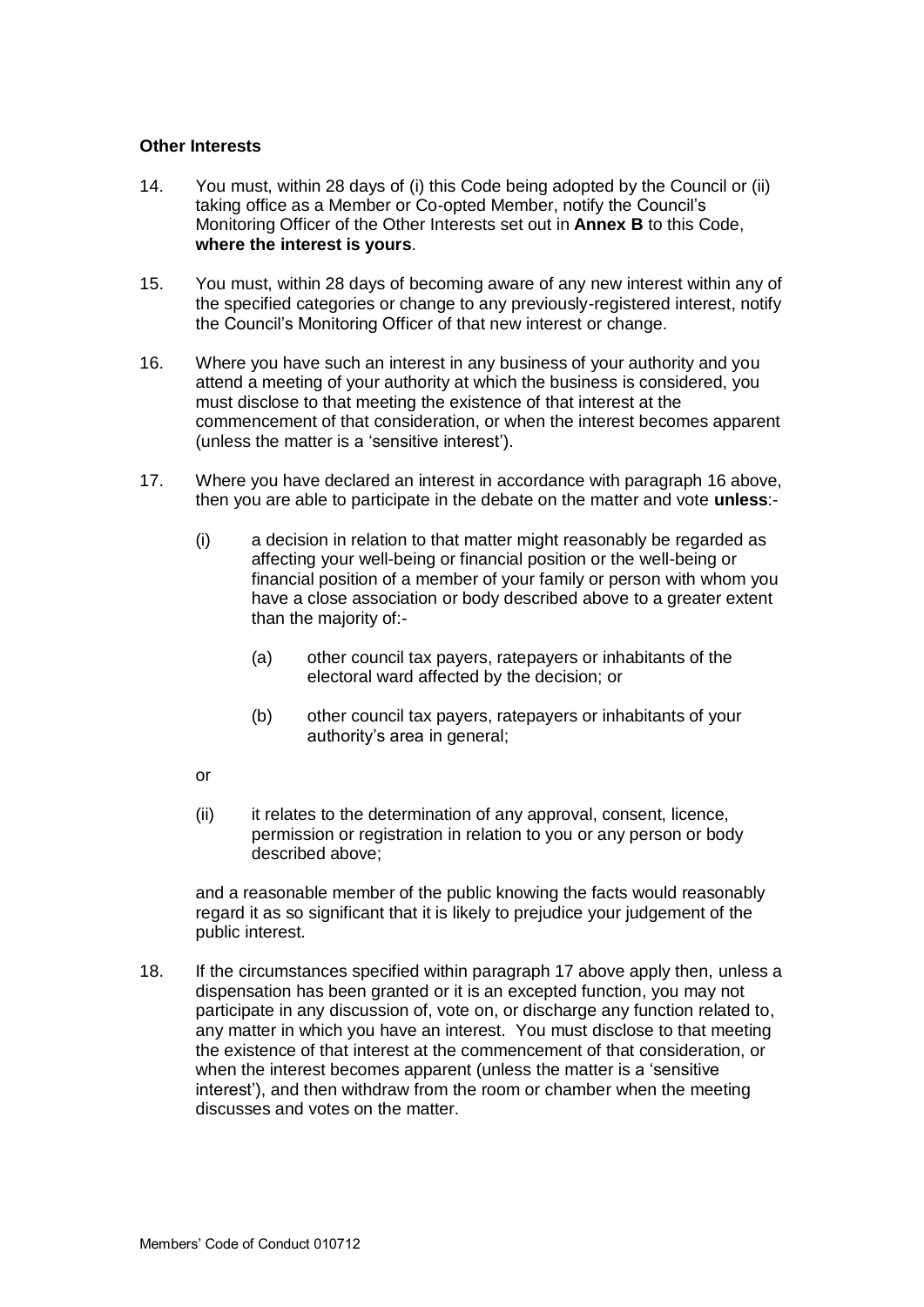## **Other Interests**

- 14. You must, within 28 days of (i) this Code being adopted by the Council or (ii) taking office as a Member or Co-opted Member, notify the Council's Monitoring Officer of the Other Interests set out in **Annex B** to this Code, **where the interest is yours**.
- 15. You must, within 28 days of becoming aware of any new interest within any of the specified categories or change to any previously-registered interest, notify the Council's Monitoring Officer of that new interest or change.
- 16. Where you have such an interest in any business of your authority and you attend a meeting of your authority at which the business is considered, you must disclose to that meeting the existence of that interest at the commencement of that consideration, or when the interest becomes apparent (unless the matter is a 'sensitive interest').
- 17. Where you have declared an interest in accordance with paragraph 16 above, then you are able to participate in the debate on the matter and vote **unless**:-
	- (i) a decision in relation to that matter might reasonably be regarded as affecting your well-being or financial position or the well-being or financial position of a member of your family or person with whom you have a close association or body described above to a greater extent than the majority of:-
		- (a) other council tax payers, ratepayers or inhabitants of the electoral ward affected by the decision; or
		- (b) other council tax payers, ratepayers or inhabitants of your authority's area in general;
	- or
	- (ii) it relates to the determination of any approval, consent, licence, permission or registration in relation to you or any person or body described above;

and a reasonable member of the public knowing the facts would reasonably regard it as so significant that it is likely to prejudice your judgement of the public interest.

18. If the circumstances specified within paragraph 17 above apply then, unless a dispensation has been granted or it is an excepted function, you may not participate in any discussion of, vote on, or discharge any function related to, any matter in which you have an interest. You must disclose to that meeting the existence of that interest at the commencement of that consideration, or when the interest becomes apparent (unless the matter is a 'sensitive interest'), and then withdraw from the room or chamber when the meeting discusses and votes on the matter.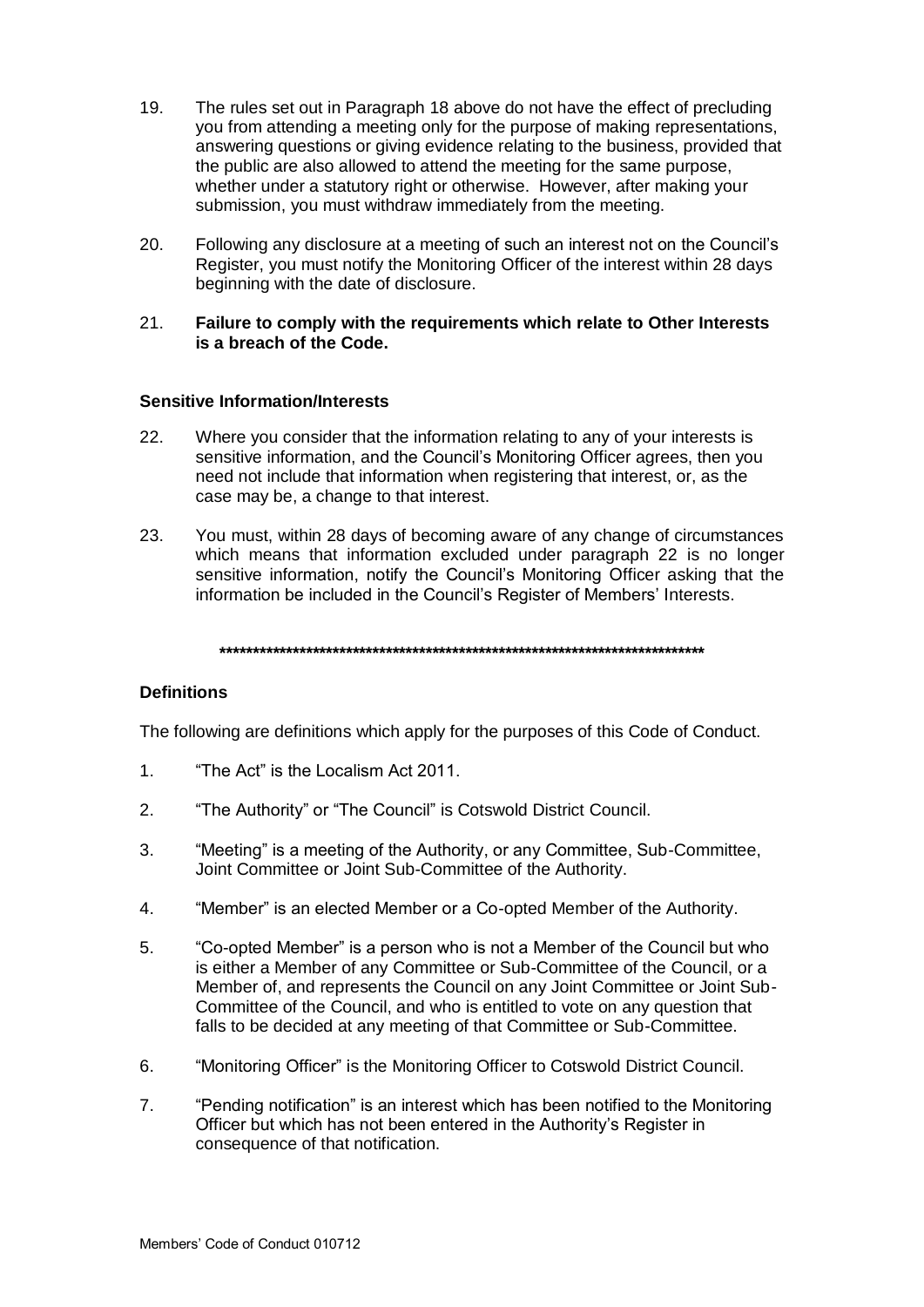- 19. The rules set out in Paragraph 18 above do not have the effect of precluding you from attending a meeting only for the purpose of making representations, answering questions or giving evidence relating to the business, provided that the public are also allowed to attend the meeting for the same purpose, whether under a statutory right or otherwise. However, after making your submission, you must withdraw immediately from the meeting.
- 20. Following any disclosure at a meeting of such an interest not on the Council's Register, you must notify the Monitoring Officer of the interest within 28 days beginning with the date of disclosure.

#### 21. **Failure to comply with the requirements which relate to Other Interests is a breach of the Code.**

## **Sensitive Information/Interests**

- 22. Where you consider that the information relating to any of your interests is sensitive information, and the Council's Monitoring Officer agrees, then you need not include that information when registering that interest, or, as the case may be, a change to that interest.
- 23. You must, within 28 days of becoming aware of any change of circumstances which means that information excluded under paragraph 22 is no longer sensitive information, notify the Council's Monitoring Officer asking that the information be included in the Council's Register of Members' Interests.

**\*\*\*\*\*\*\*\*\*\*\*\*\*\*\*\*\*\*\*\*\*\*\*\*\*\*\*\*\*\*\*\*\*\*\*\*\*\*\*\*\*\*\*\*\*\*\*\*\*\*\*\*\*\*\*\*\*\*\*\*\*\*\*\*\*\*\*\*\*\*\*\*\***

## **Definitions**

The following are definitions which apply for the purposes of this Code of Conduct.

- 1. "The Act" is the Localism Act 2011.
- 2. "The Authority" or "The Council" is Cotswold District Council.
- 3. "Meeting" is a meeting of the Authority, or any Committee, Sub-Committee, Joint Committee or Joint Sub-Committee of the Authority.
- 4. "Member" is an elected Member or a Co-opted Member of the Authority.
- 5. "Co-opted Member" is a person who is not a Member of the Council but who is either a Member of any Committee or Sub-Committee of the Council, or a Member of, and represents the Council on any Joint Committee or Joint Sub-Committee of the Council, and who is entitled to vote on any question that falls to be decided at any meeting of that Committee or Sub-Committee.
- 6. "Monitoring Officer" is the Monitoring Officer to Cotswold District Council.
- 7. "Pending notification" is an interest which has been notified to the Monitoring Officer but which has not been entered in the Authority's Register in consequence of that notification.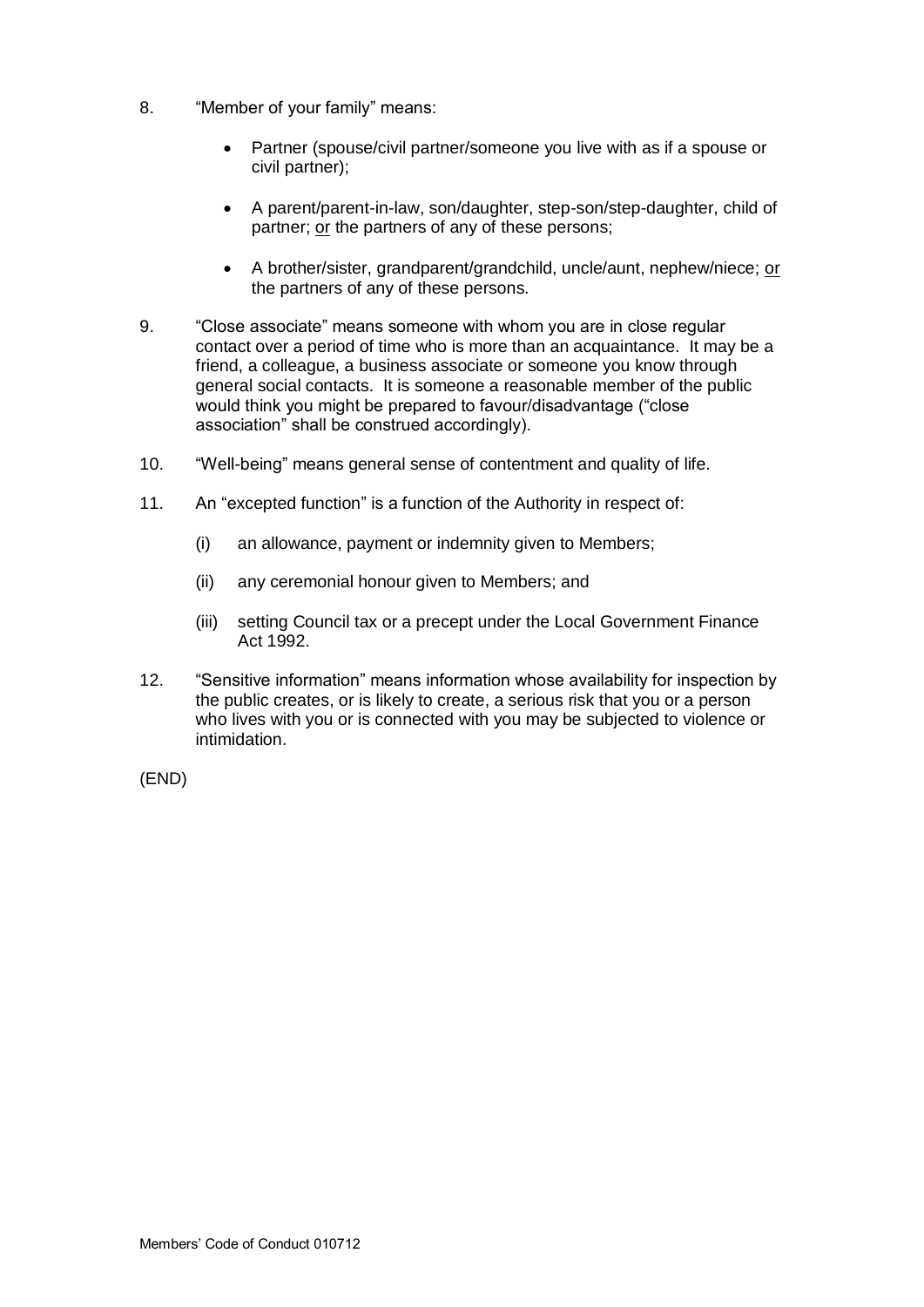- 8. "Member of your family" means:
	- Partner (spouse/civil partner/someone you live with as if a spouse or civil partner);
	- A parent/parent-in-law, son/daughter, step-son/step-daughter, child of partner; or the partners of any of these persons;
	- A brother/sister, grandparent/grandchild, uncle/aunt, nephew/niece; or the partners of any of these persons.
- 9. "Close associate" means someone with whom you are in close regular contact over a period of time who is more than an acquaintance. It may be a friend, a colleague, a business associate or someone you know through general social contacts. It is someone a reasonable member of the public would think you might be prepared to favour/disadvantage ("close association" shall be construed accordingly).
- 10. "Well-being" means general sense of contentment and quality of life.
- 11. An "excepted function" is a function of the Authority in respect of:
	- (i) an allowance, payment or indemnity given to Members;
	- (ii) any ceremonial honour given to Members; and
	- (iii) setting Council tax or a precept under the Local Government Finance Act 1992.
- 12. "Sensitive information" means information whose availability for inspection by the public creates, or is likely to create, a serious risk that you or a person who lives with you or is connected with you may be subjected to violence or intimidation.

(END)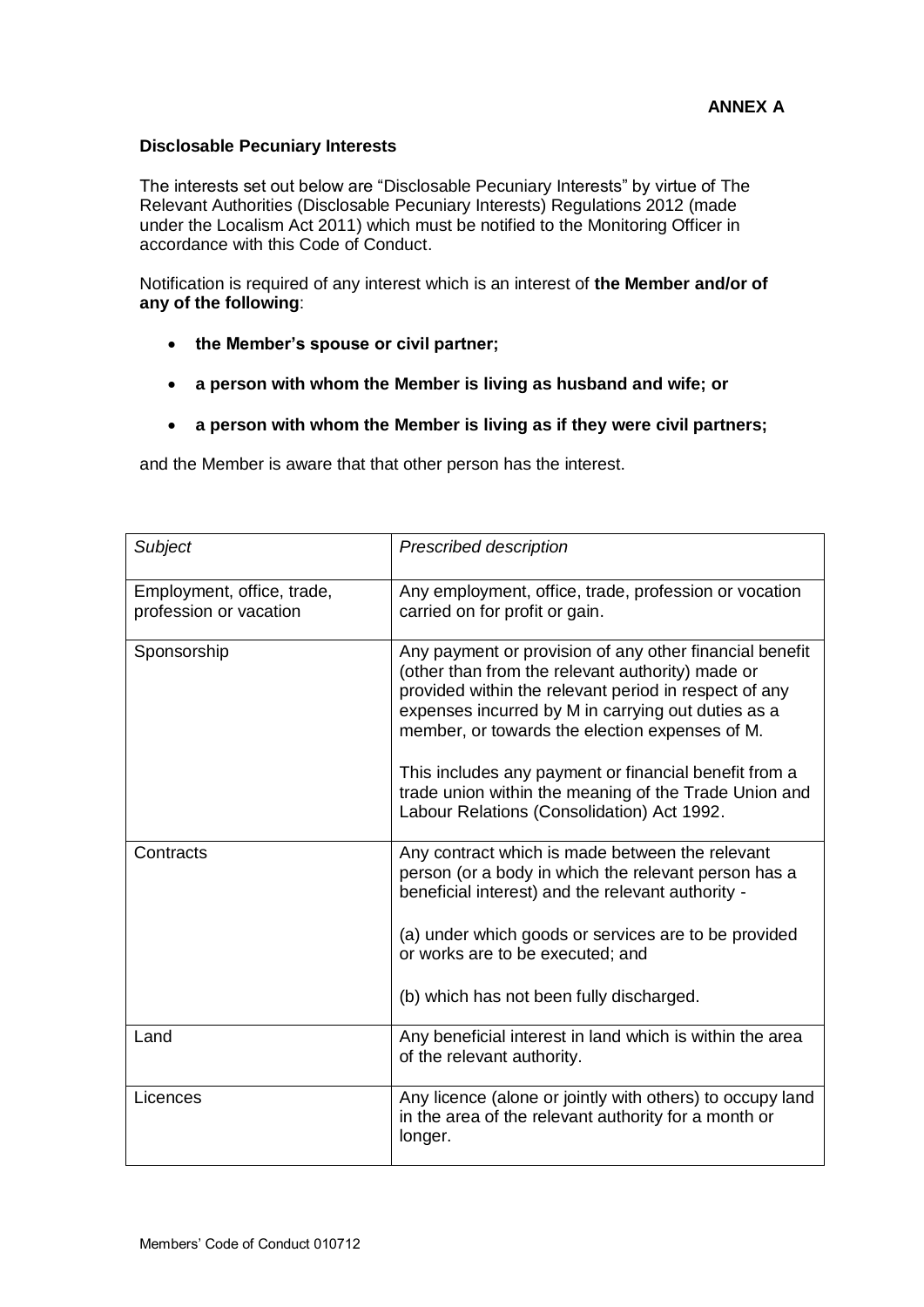## **Disclosable Pecuniary Interests**

The interests set out below are "Disclosable Pecuniary Interests" by virtue of The Relevant Authorities (Disclosable Pecuniary Interests) Regulations 2012 (made under the Localism Act 2011) which must be notified to the Monitoring Officer in accordance with this Code of Conduct.

Notification is required of any interest which is an interest of **the Member and/or of any of the following**:

- **the Member's spouse or civil partner;**
- **a person with whom the Member is living as husband and wife; or**
- **a person with whom the Member is living as if they were civil partners;**

and the Member is aware that that other person has the interest.

| Subject                                              | Prescribed description                                                                                                                                                                                                                                                                                                                                                                                                                       |
|------------------------------------------------------|----------------------------------------------------------------------------------------------------------------------------------------------------------------------------------------------------------------------------------------------------------------------------------------------------------------------------------------------------------------------------------------------------------------------------------------------|
| Employment, office, trade,<br>profession or vacation | Any employment, office, trade, profession or vocation<br>carried on for profit or gain.                                                                                                                                                                                                                                                                                                                                                      |
| Sponsorship                                          | Any payment or provision of any other financial benefit<br>(other than from the relevant authority) made or<br>provided within the relevant period in respect of any<br>expenses incurred by M in carrying out duties as a<br>member, or towards the election expenses of M.<br>This includes any payment or financial benefit from a<br>trade union within the meaning of the Trade Union and<br>Labour Relations (Consolidation) Act 1992. |
| Contracts                                            | Any contract which is made between the relevant<br>person (or a body in which the relevant person has a<br>beneficial interest) and the relevant authority -<br>(a) under which goods or services are to be provided<br>or works are to be executed; and<br>(b) which has not been fully discharged.                                                                                                                                         |
| Land                                                 | Any beneficial interest in land which is within the area<br>of the relevant authority.                                                                                                                                                                                                                                                                                                                                                       |
| Licences                                             | Any licence (alone or jointly with others) to occupy land<br>in the area of the relevant authority for a month or<br>longer.                                                                                                                                                                                                                                                                                                                 |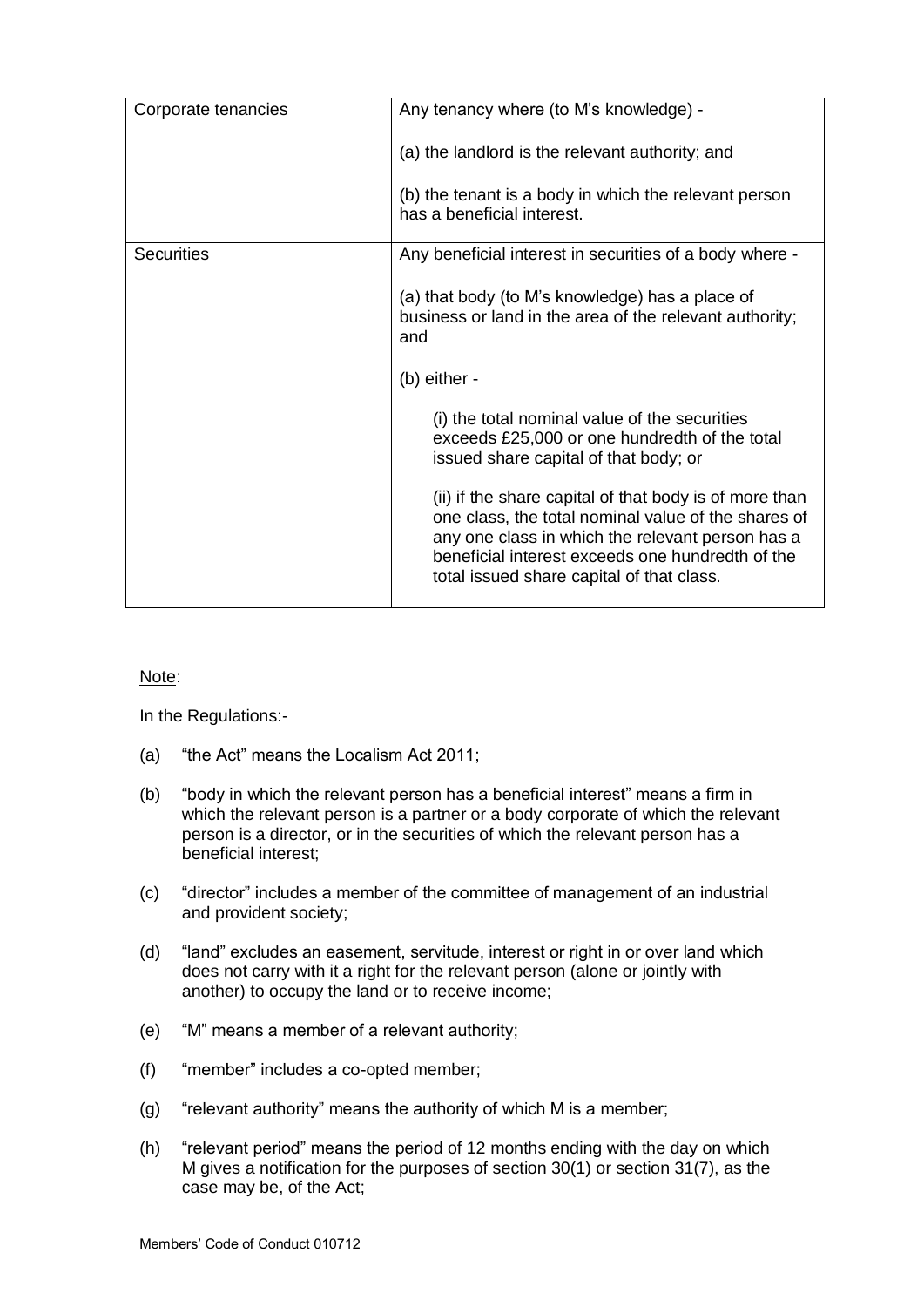| Corporate tenancies | Any tenancy where (to M's knowledge) -                                                                                                                                                                                                                             |
|---------------------|--------------------------------------------------------------------------------------------------------------------------------------------------------------------------------------------------------------------------------------------------------------------|
|                     | (a) the landlord is the relevant authority; and                                                                                                                                                                                                                    |
|                     | (b) the tenant is a body in which the relevant person<br>has a beneficial interest.                                                                                                                                                                                |
| <b>Securities</b>   | Any beneficial interest in securities of a body where -                                                                                                                                                                                                            |
|                     | (a) that body (to M's knowledge) has a place of<br>business or land in the area of the relevant authority;<br>and                                                                                                                                                  |
|                     | $(b)$ either -                                                                                                                                                                                                                                                     |
|                     | (i) the total nominal value of the securities<br>exceeds £25,000 or one hundredth of the total<br>issued share capital of that body; or                                                                                                                            |
|                     | (ii) if the share capital of that body is of more than<br>one class, the total nominal value of the shares of<br>any one class in which the relevant person has a<br>beneficial interest exceeds one hundredth of the<br>total issued share capital of that class. |
|                     |                                                                                                                                                                                                                                                                    |

Note:

In the Regulations:-

- (a) "the Act" means the Localism Act 2011;
- (b) "body in which the relevant person has a beneficial interest" means a firm in which the relevant person is a partner or a body corporate of which the relevant person is a director, or in the securities of which the relevant person has a beneficial interest;
- (c) "director" includes a member of the committee of management of an industrial and provident society;
- (d) "land" excludes an easement, servitude, interest or right in or over land which does not carry with it a right for the relevant person (alone or jointly with another) to occupy the land or to receive income;
- (e) "M" means a member of a relevant authority;
- (f) "member" includes a co-opted member;
- (g) "relevant authority" means the authority of which M is a member;
- (h) "relevant period" means the period of 12 months ending with the day on which M gives a notification for the purposes of section 30(1) or section 31(7), as the case may be, of the Act;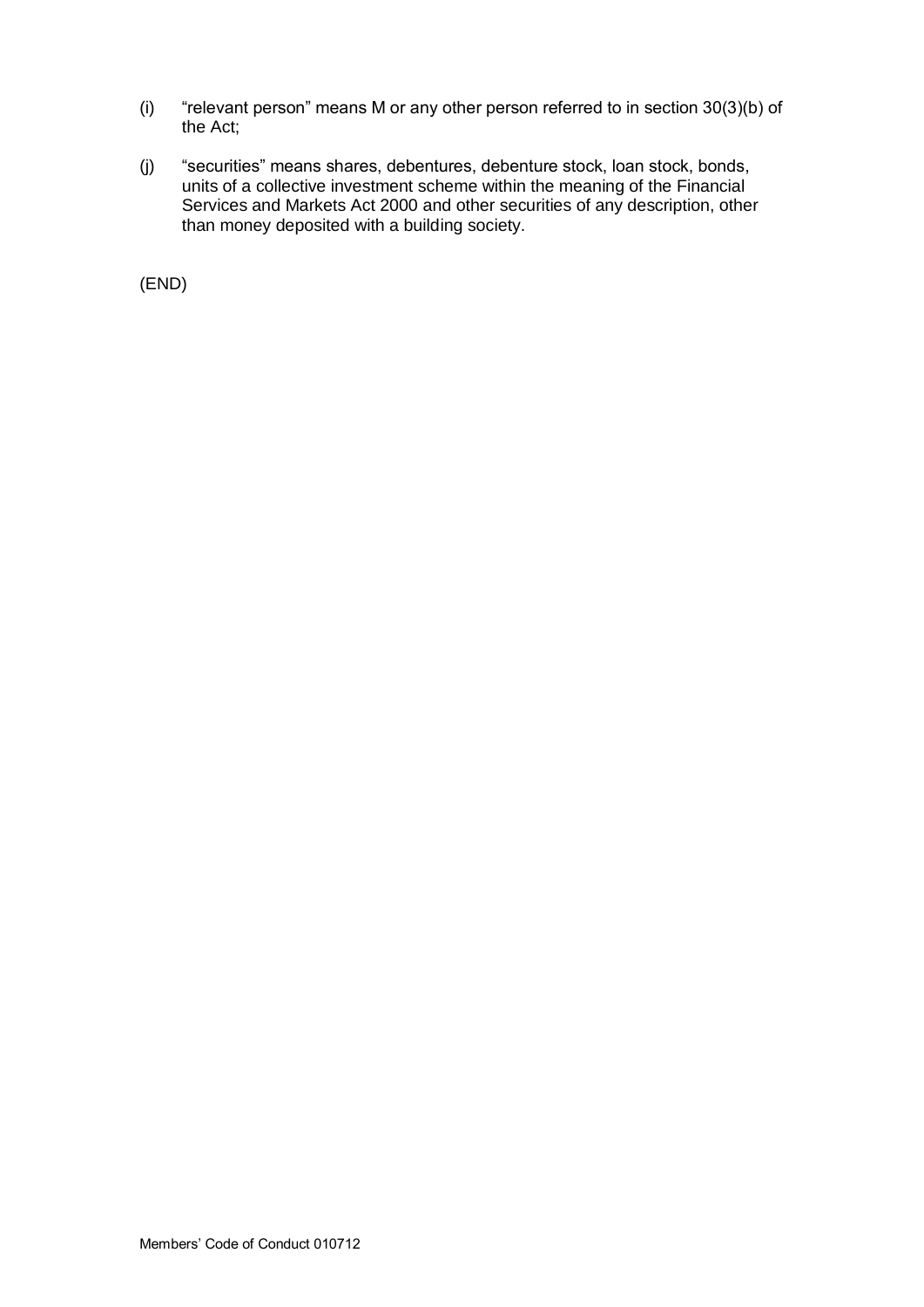- (i) "relevant person" means M or any other person referred to in section 30(3)(b) of the Act;
- (j) "securities" means shares, debentures, debenture stock, loan stock, bonds, units of a collective investment scheme within the meaning of the Financial Services and Markets Act 2000 and other securities of any description, other than money deposited with a building society.

(END)